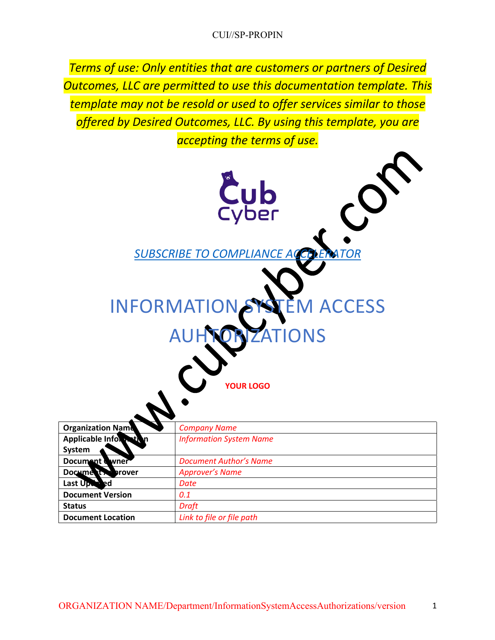*Terms of use: Only entities that are customers or partners of Desired Outcomes, LLC are permitted to use this documentation template. This template may not be resold or used to offer services similar to those offered by Desired Outcomes, LLC. By using this template, you are accepting the terms of use.*

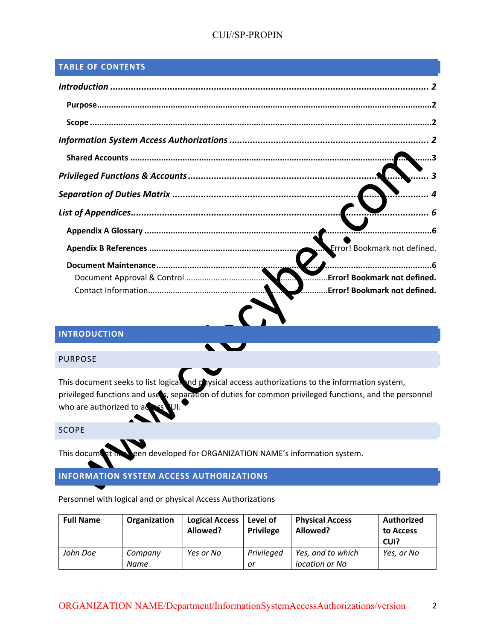# CUI//SP-PROPIN

## **TABLE OF CONTENTS**

| <b>Error! Bookmark not defined.</b>                                        |
|----------------------------------------------------------------------------|
| <b>Error! Bookmark not defined.</b><br><b>Error! Bookmark not defined.</b> |

# **INTRODUCTION**

#### PURPOSE

This document seeks to list logical and physical access authorizations to the information system, privileged functions and uses, separation of duties for common privileged functions, and the personnel who are authorized to  $a^{\bullet}$ 

W

#### SCOPE

This document has been developed for ORGANIZATION NAME's information system.

# **INFORMATION SYSTEM ACCESS AUTHORIZATIONS**

| Personnel with logical and or physical Access Authorizations |  |  |  |  |
|--------------------------------------------------------------|--|--|--|--|
|                                                              |  |  |  |  |

| <b>Full Name</b> | Organization    | <b>Logical Access</b><br>Allowed? | Level of<br><b>Privilege</b> | <b>Physical Access</b><br>Allowed?  | <b>Authorized</b><br>to Access<br>CUI? |
|------------------|-----------------|-----------------------------------|------------------------------|-------------------------------------|----------------------------------------|
| John Doe         | Company<br>Name | Yes or No                         | Privileged<br>or             | Yes, and to which<br>location or No | Yes, or No                             |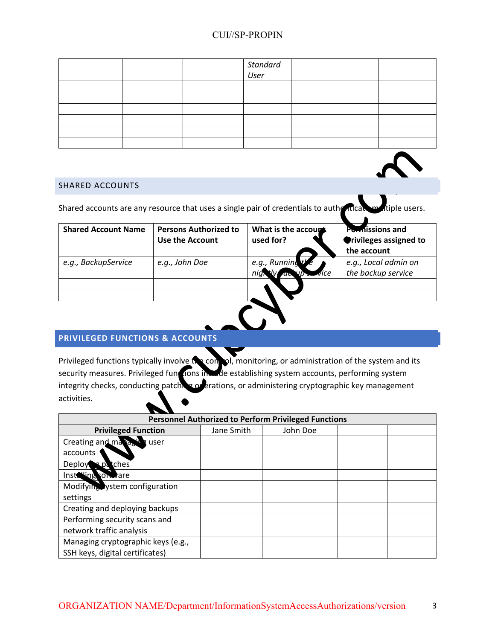|  | Standard<br>User |  |
|--|------------------|--|
|  |                  |  |
|  |                  |  |
|  |                  |  |
|  |                  |  |
|  |                  |  |
|  |                  |  |

#### SHARED ACCOUNTS

SHARED ACCOUNTS<br>Shared accounts are any resource that uses a single pair of credentials to authenticate multiple users.

| <b>Shared Account Name</b> | <b>Persons Authorized to</b><br><b>Use the Account</b> | What is the accoupt<br>used for?        | Permissions and<br><b>Orivileges assigned to</b><br>the account |
|----------------------------|--------------------------------------------------------|-----------------------------------------|-----------------------------------------------------------------|
| e.g., BackupService        | e.g., John Doe                                         | e.g., Running $t$ $e$<br>up <i>vice</i> | e.g., Local admin on<br>the backup service                      |
|                            |                                                        |                                         |                                                                 |
|                            |                                                        |                                         |                                                                 |

 $\begin{array}{ccc} \bullet & \bullet \end{array}$ 

## **PRIVILEGED FUNCTIONS & ACCOUNTS**

Privileged functions typically involve the control, monitoring, or administration of the system and its security measures. Privileged functions include establishing system accounts, performing system integrity checks, conducting patching  $\alpha$  erations, or administering cryptographic key management activities.

| <b>Personnel Authorized to Perform Privileged Functions</b> |            |          |  |  |  |  |
|-------------------------------------------------------------|------------|----------|--|--|--|--|
| <b>Privileged Function</b>                                  | Jane Smith | John Doe |  |  |  |  |
| Creating and manage<br>vuser                                |            |          |  |  |  |  |
| accounts                                                    |            |          |  |  |  |  |
| <b>t</b> ches<br><b>Deploy</b><br>×Ωδ                       |            |          |  |  |  |  |
| Installing conceare                                         |            |          |  |  |  |  |
| Modifying vstem configuration                               |            |          |  |  |  |  |
| settings                                                    |            |          |  |  |  |  |
| Creating and deploying backups                              |            |          |  |  |  |  |
| Performing security scans and                               |            |          |  |  |  |  |
| network traffic analysis                                    |            |          |  |  |  |  |
| Managing cryptographic keys (e.g.,                          |            |          |  |  |  |  |
| SSH keys, digital certificates)                             |            |          |  |  |  |  |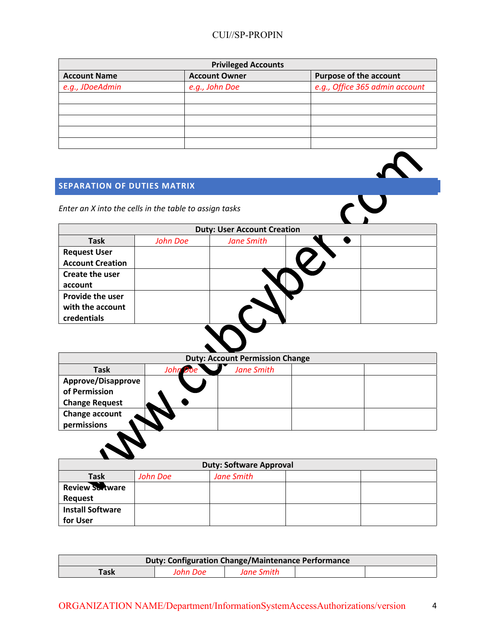| <b>Privileged Accounts</b> |                      |                                |  |  |  |
|----------------------------|----------------------|--------------------------------|--|--|--|
| <b>Account Name</b>        | <b>Account Owner</b> | <b>Purpose of the account</b>  |  |  |  |
| e.g., JDoeAdmin            | e.g., John Doe       | e.g., Office 365 admin account |  |  |  |
|                            |                      |                                |  |  |  |
|                            |                      |                                |  |  |  |
|                            |                      |                                |  |  |  |
|                            |                      |                                |  |  |  |
|                            |                      |                                |  |  |  |

# **SEPARATION OF DUTIES MATRIX**

| <b>SEPARATION OF DUTIES MATRIX</b>                     |                 |                                    |  |
|--------------------------------------------------------|-----------------|------------------------------------|--|
| Enter an X into the cells in the table to assign tasks |                 |                                    |  |
|                                                        |                 | <b>Duty: User Account Creation</b> |  |
| <b>Task</b>                                            | <b>John Doe</b> | <b>Jane Smith</b>                  |  |
| <b>Request User</b>                                    |                 |                                    |  |
| <b>Account Creation</b>                                |                 |                                    |  |
| Create the user                                        |                 |                                    |  |
| account                                                |                 |                                    |  |
| Provide the user                                       |                 |                                    |  |
| with the account                                       |                 |                                    |  |
| credentials                                            |                 |                                    |  |
|                                                        |                 |                                    |  |

|                                                              | <b>Duty: Account Permission Change</b> |                   |  |  |  |  |
|--------------------------------------------------------------|----------------------------------------|-------------------|--|--|--|--|
| <b>Task</b>                                                  | John<br>Doe                            | <b>Jane Smith</b> |  |  |  |  |
| Approve/Disapprove<br>of Permission<br><b>Change Request</b> |                                        |                   |  |  |  |  |
| Change account<br>permissions                                |                                        |                   |  |  |  |  |
|                                                              |                                        |                   |  |  |  |  |

| <b>Duty: Software Approval</b> |          |                   |  |  |  |
|--------------------------------|----------|-------------------|--|--|--|
| <b>Task</b>                    | John Doe | <b>Jane Smith</b> |  |  |  |
| <b>Review Sortware</b>         |          |                   |  |  |  |
| <b>Request</b>                 |          |                   |  |  |  |
| <b>Install Software</b>        |          |                   |  |  |  |
| for User                       |          |                   |  |  |  |

| <b>Duty: Configuration Change/Maintenance Performance</b> |          |            |  |  |  |
|-----------------------------------------------------------|----------|------------|--|--|--|
| Task                                                      | John Doe | Jane Smith |  |  |  |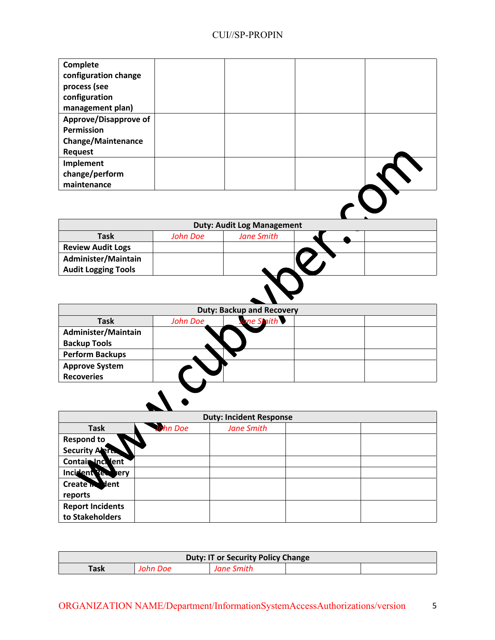| Complete<br>configuration change<br>process (see<br>configuration<br>management plan) |  |  |
|---------------------------------------------------------------------------------------|--|--|
| <b>Approve/Disapprove of</b>                                                          |  |  |
| Permission                                                                            |  |  |
| <b>Change/Maintenance</b>                                                             |  |  |
| <b>Request</b>                                                                        |  |  |
| Implement                                                                             |  |  |
| change/perform                                                                        |  |  |
| maintenance                                                                           |  |  |
|                                                                                       |  |  |

| <b>Duty: Audit Log Management</b> |                               |  |  |  |  |  |
|-----------------------------------|-------------------------------|--|--|--|--|--|
| <b>Task</b>                       | <b>Jane Smith</b><br>John Doe |  |  |  |  |  |
| <b>Review Audit Logs</b>          |                               |  |  |  |  |  |
| Administer/Maintain               |                               |  |  |  |  |  |
| <b>Audit Logging Tools</b>        |                               |  |  |  |  |  |
|                                   |                               |  |  |  |  |  |

| <b>Duty: Backup and Recovery</b>            |  |  |  |  |  |  |
|---------------------------------------------|--|--|--|--|--|--|
| ane Smith<br><b>Task</b><br><b>John Doe</b> |  |  |  |  |  |  |
| Administer/Maintain<br><b>Backup Tools</b>  |  |  |  |  |  |  |
| <b>Perform Backups</b>                      |  |  |  |  |  |  |
| <b>Approve System</b><br><b>Recoveries</b>  |  |  |  |  |  |  |
|                                             |  |  |  |  |  |  |

| <b>Duty: Incident Response</b> |          |                   |  |  |  |
|--------------------------------|----------|-------------------|--|--|--|
| <b>Task</b>                    | John Doe | <b>Jane Smith</b> |  |  |  |
| Respond to                     |          |                   |  |  |  |
| Security Alerts                |          |                   |  |  |  |
| Contair Inc. lent              |          |                   |  |  |  |
| Incident Peer very             |          |                   |  |  |  |
| Create in Nent                 |          |                   |  |  |  |
| reports                        |          |                   |  |  |  |
| <b>Report Incidents</b>        |          |                   |  |  |  |
| to Stakeholders                |          |                   |  |  |  |

| <b>Duty: IT or Security Policy Change</b> |  |  |  |  |  |
|-------------------------------------------|--|--|--|--|--|
| Task                                      |  |  |  |  |  |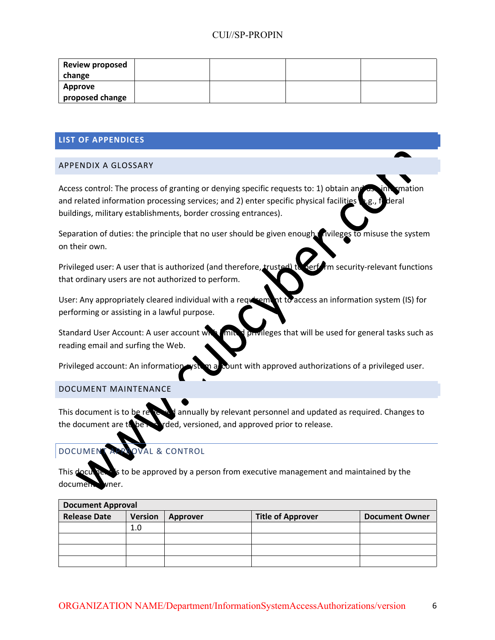| <b>Review proposed</b> |  |  |
|------------------------|--|--|
| change                 |  |  |
| Approve                |  |  |
| proposed change        |  |  |

### **LIST OF APPENDICES**

#### APPENDIX A GLOSSARY

Access control: The process of granting or denying specific requests to: 1) obtain and as information and related information processing services; and 2) enter specific physical facilities  $\bullet$  g., federal buildings, military establishments, border crossing entrances).

Separation of duties: the principle that no user should be given enough privileges to misuse the system on their own.

Privileged user: A user that is authorized (and therefore, trusted) to perform security-relevant functions that ordinary users are not authorized to perform.

User: Any appropriately cleared individual with a requirement to access an information system (IS) for performing or assisting in a lawful purpose.

Standard User Account: A user account with limited privileges that will be used for general tasks such as reading email and surfing the Web.

Privileged account: An information ystem a count with approved authorizations of a privileged user.

## DOCUMENT MAINTENANCE

This document is to be reviewed annually by relevant personnel and updated as required. Changes to the document are to be recorded, versioned, and approved prior to release.

# DOCUMENT APPROVAL & CONTROL

This documents is to be approved by a person from executive management and maintained by the document wner.

| <b>Document Approval</b> |                |          |                          |                       |  |
|--------------------------|----------------|----------|--------------------------|-----------------------|--|
| <b>Release Date</b>      | <b>Version</b> | Approver | <b>Title of Approver</b> | <b>Document Owner</b> |  |
|                          | 1.0            |          |                          |                       |  |
|                          |                |          |                          |                       |  |
|                          |                |          |                          |                       |  |
|                          |                |          |                          |                       |  |